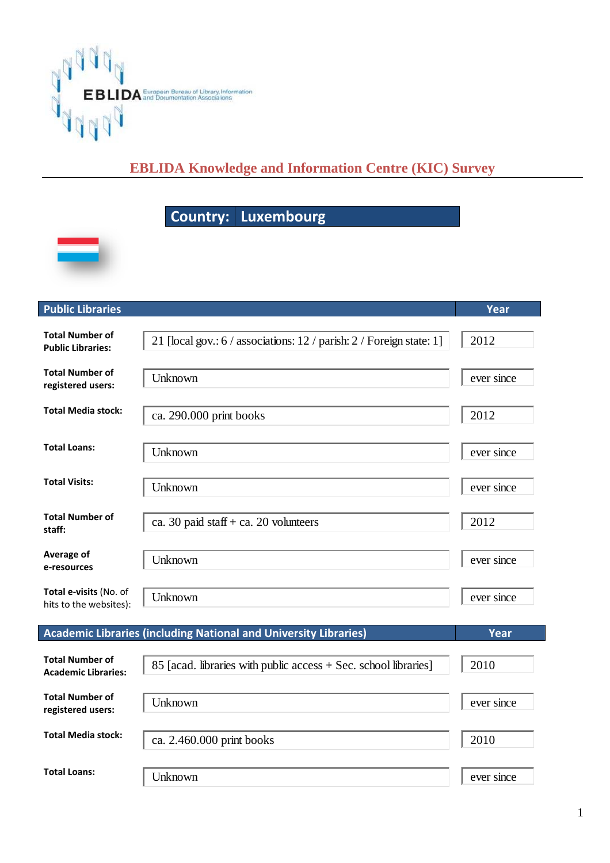

## **EBLIDA Knowledge and Information Centre (KIC) Survey**

## **Country: Luxembourg**



| <b>Public Libraries</b>                              |                                                                      | Year        |
|------------------------------------------------------|----------------------------------------------------------------------|-------------|
| <b>Total Number of</b><br><b>Public Libraries:</b>   | 21 [local gov.: 6 / associations: 12 / parish: 2 / Foreign state: 1] | 2012        |
| <b>Total Number of</b><br>registered users:          | Unknown                                                              | ever since  |
| <b>Total Media stock:</b>                            | ca. 290.000 print books                                              | 2012        |
| <b>Total Loans:</b>                                  | Unknown                                                              | ever since  |
| <b>Total Visits:</b>                                 | Unknown                                                              | ever since  |
| <b>Total Number of</b><br>staff:                     | ca. 30 paid staff + ca. 20 volunteers                                | 2012        |
| Average of<br>e-resources                            | Unknown                                                              | ever since  |
| Total e-visits (No. of<br>hits to the websites):     | Unknown                                                              | ever since  |
|                                                      | Academic Libraries (including National and University Libraries)     | <b>Year</b> |
| <b>Total Number of</b><br><b>Academic Libraries:</b> | 85 [acad. libraries with public access + Sec. school libraries]      | 2010        |
| <b>Total Number of</b><br>registered users:          | Unknown                                                              | ever since  |
| <b>Total Media stock:</b>                            | ca. 2.460.000 print books                                            | 2010        |
| <b>Total Loans:</b>                                  | Unknown                                                              | ever since  |